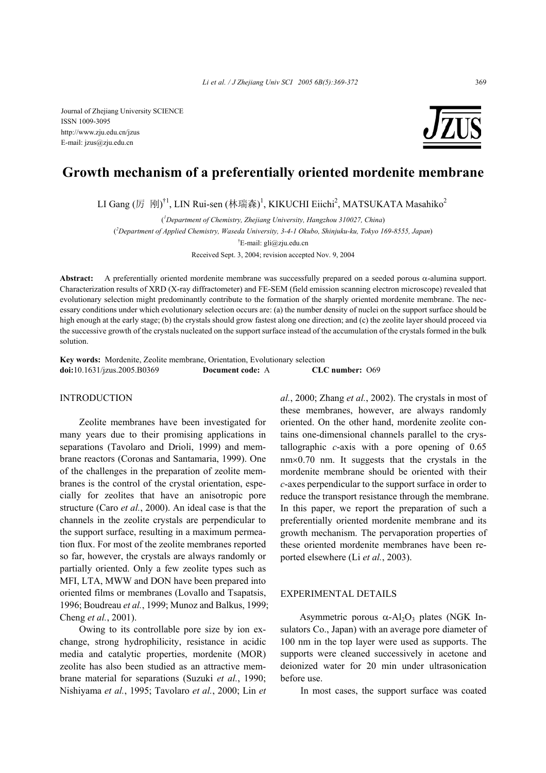ISSN 1009-3095 http://www.zju.edu.cn/jzus E-mail: jzus@zju.edu.cn



# **Growth mechanism of a preferentially oriented mordenite membrane**

LI Gang (厉 刚)<sup>†1</sup>, LIN Rui-sen (林瑞森)<sup>1</sup>, KIKUCHI Eiichi<sup>2</sup>, MATSUKATA Masahiko<sup>2</sup>

( *1 Department of Chemistry, Zhejiang University, Hangzhou 310027, China*) ( *2 Department of Applied Chemistry, Waseda University, 3-4-1 Okubo, Shinjuku-ku, Tokyo 169-8555, Japan*) † E-mail: gli@zju.edu.cn Received Sept. 3, 2004; revision accepted Nov. 9, 2004

**Abstract:** A preferentially oriented mordenite membrane was successfully prepared on a seeded porous α-alumina support. Characterization results of XRD (X-ray diffractometer) and FE-SEM (field emission scanning electron microscope) revealed that evolutionary selection might predominantly contribute to the formation of the sharply oriented mordenite membrane. The necessary conditions under which evolutionary selection occurs are: (a) the number density of nuclei on the support surface should be high enough at the early stage; (b) the crystals should grow fastest along one direction; and (c) the zeolite layer should proceed via the successive growth of the crystals nucleated on the support surface instead of the accumulation of the crystals formed in the bulk solution.

**Key words:** Mordenite, Zeolite membrane, Orientation, Evolutionary selection **doi:**10.1631/jzus.2005.B0369 **Document code:** A **CLC number:** O69

## INTRODUCTION

Zeolite membranes have been investigated for many years due to their promising applications in separations (Tavolaro and Drioli, 1999) and membrane reactors (Coronas and Santamaria, 1999). One of the challenges in the preparation of zeolite membranes is the control of the crystal orientation, especially for zeolites that have an anisotropic pore structure (Caro *et al.*, 2000). An ideal case is that the channels in the zeolite crystals are perpendicular to the support surface, resulting in a maximum permeation flux. For most of the zeolite membranes reported so far, however, the crystals are always randomly or partially oriented. Only a few zeolite types such as MFI, LTA, MWW and DON have been prepared into oriented films or membranes (Lovallo and Tsapatsis, 1996; Boudreau *et al.*, 1999; Munoz and Balkus, 1999; Cheng *et al.*, 2001).

Owing to its controllable pore size by ion exchange, strong hydrophilicity, resistance in acidic media and catalytic properties, mordenite (MOR) zeolite has also been studied as an attractive membrane material for separations (Suzuki *et al.*, 1990; Nishiyama *et al.*, 1995; Tavolaro *et al.*, 2000; Lin *et*  *al.*, 2000; Zhang *et al.*, 2002). The crystals in most of these membranes, however, are always randomly oriented. On the other hand, mordenite zeolite contains one-dimensional channels parallel to the crystallographic *c*-axis with a pore opening of 0.65 nm×0.70 nm. It suggests that the crystals in the mordenite membrane should be oriented with their *c*-axes perpendicular to the support surface in order to reduce the transport resistance through the membrane. In this paper, we report the preparation of such a preferentially oriented mordenite membrane and its growth mechanism. The pervaporation properties of these oriented mordenite membranes have been reported elsewhere (Li *et al.*, 2003).

### EXPERIMENTAL DETAILS

Asymmetric porous  $\alpha$ -Al<sub>2</sub>O<sub>3</sub> plates (NGK Insulators Co., Japan) with an average pore diameter of 100 nm in the top layer were used as supports. The supports were cleaned successively in acetone and deionized water for 20 min under ultrasonication before use.

In most cases, the support surface was coated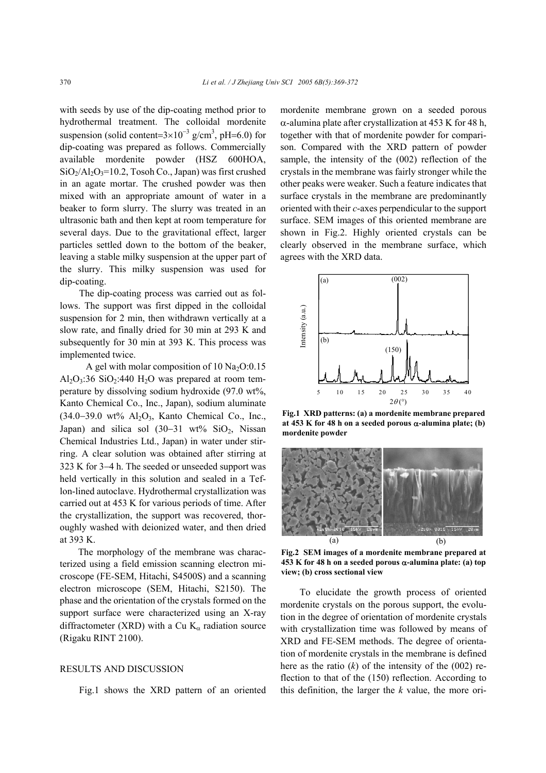with seeds by use of the dip-coating method prior to hydrothermal treatment. The colloidal mordenite suspension (solid content= $3 \times 10^{-3}$  g/cm<sup>3</sup>, pH=6.0) for dip-coating was prepared as follows. Commercially available mordenite powder (HSZ 600HOA,  $SiO<sub>2</sub>/Al<sub>2</sub>O<sub>3</sub>=10.2$ , Tosoh Co., Japan) was first crushed in an agate mortar. The crushed powder was then mixed with an appropriate amount of water in a beaker to form slurry. The slurry was treated in an ultrasonic bath and then kept at room temperature for several days. Due to the gravitational effect, larger particles settled down to the bottom of the beaker, leaving a stable milky suspension at the upper part of the slurry. This milky suspension was used for dip-coating.

The dip-coating process was carried out as follows. The support was first dipped in the colloidal suspension for 2 min, then withdrawn vertically at a slow rate, and finally dried for 30 min at 293 K and subsequently for 30 min at 393 K. This process was implemented twice.

A gel with molar composition of 10  $Na<sub>2</sub>O:0.15$  $Al_2O_3:36$  SiO<sub>2</sub>:440 H<sub>2</sub>O was prepared at room temperature by dissolving sodium hydroxide (97.0 wt%, Kanto Chemical Co., Inc., Japan), sodium aluminate (34.0−39.0 wt% Al2O3, Kanto Chemical Co., Inc., Japan) and silica sol  $(30-31 \text{ wt\%} \text{SiO}_2)$ , Nissan Chemical Industries Ltd., Japan) in water under stirring. A clear solution was obtained after stirring at 323 K for 3−4 h. The seeded or unseeded support was held vertically in this solution and sealed in a Teflon-lined autoclave. Hydrothermal crystallization was carried out at 453 K for various periods of time. After the crystallization, the support was recovered, thoroughly washed with deionized water, and then dried at 393 K.

The morphology of the membrane was characterized using a field emission scanning electron microscope (FE-SEM, Hitachi, S4500S) and a scanning electron microscope (SEM, Hitachi, S2150). The phase and the orientation of the crystals formed on the support surface were characterized using an X-ray diffractometer (XRD) with a Cu  $K_{\alpha}$  radiation source (Rigaku RINT 2100).

# RESULTS AND DISCUSSION

Fig.1 shows the XRD pattern of an oriented

mordenite membrane grown on a seeded porous α-alumina plate after crystallization at 453 K for 48 h, together with that of mordenite powder for comparison. Compared with the XRD pattern of powder sample, the intensity of the (002) reflection of the crystals in the membrane was fairly stronger while the other peaks were weaker. Such a feature indicates that surface crystals in the membrane are predominantly oriented with their *c*-axes perpendicular to the support surface. SEM images of this oriented membrane are shown in Fig.2. Highly oriented crystals can be clearly observed in the membrane surface, which agrees with the XRD data.



**Fig.1 XRD patterns: (a) a mordenite membrane prepared at 453 K for 48 h on a seeded porous** α**-alumina plate; (b) mordenite powder**



**Fig.2 SEM images of a mordenite membrane prepared at 453 K for 48 h on a seeded porous** α**-alumina plate: (a) top view; (b) cross sectional view** 

To elucidate the growth process of oriented mordenite crystals on the porous support, the evolution in the degree of orientation of mordenite crystals with crystallization time was followed by means of XRD and FE-SEM methods. The degree of orientation of mordenite crystals in the membrane is defined here as the ratio  $(k)$  of the intensity of the  $(002)$  reflection to that of the (150) reflection. According to this definition, the larger the *k* value, the more ori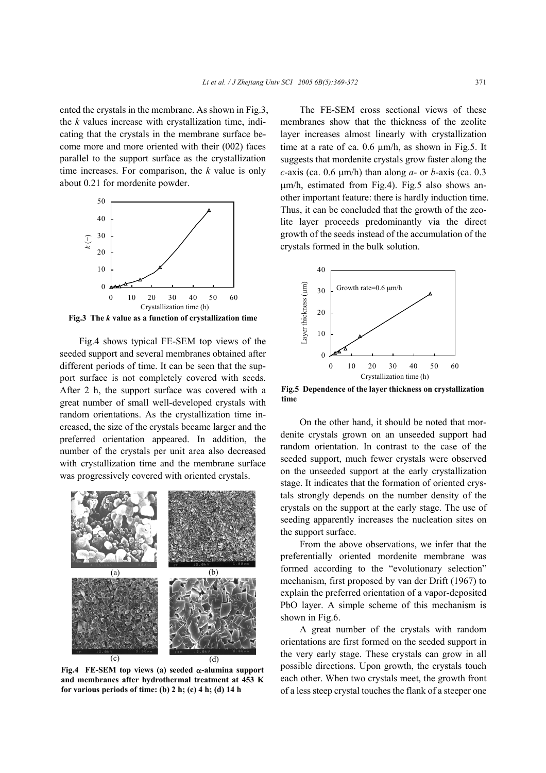ented the crystals in the membrane. As shown in Fig.3, the *k* values increase with crystallization time, indicating that the crystals in the membrane surface become more and more oriented with their (002) faces parallel to the support surface as the crystallization time increases. For comparison, the *k* value is only about 0.21 for mordenite powder.



**Fig.3 The** *k* **value as a function of crystallization time**

Fig.4 shows typical FE-SEM top views of the seeded support and several membranes obtained after different periods of time. It can be seen that the support surface is not completely covered with seeds. After 2 h, the support surface was covered with a great number of small well-developed crystals with random orientations. As the crystallization time increased, the size of the crystals became larger and the preferred orientation appeared. In addition, the number of the crystals per unit area also decreased with crystallization time and the membrane surface was progressively covered with oriented crystals.



**Fig.4 FE-SEM top views (a) seeded** α**-alumina support and membranes after hydrothermal treatment at 453 K for various periods of time: (b) 2 h; (c) 4 h; (d) 14 h** 

The FE-SEM cross sectional views of these membranes show that the thickness of the zeolite layer increases almost linearly with crystallization time at a rate of ca. 0.6  $\mu$ m/h, as shown in Fig.5. It suggests that mordenite crystals grow faster along the *c*-axis (ca. 0.6  $\mu$ m/h) than along *a*- or *b*-axis (ca. 0.3 µm/h, estimated from Fig.4). Fig.5 also shows another important feature: there is hardly induction time. Thus, it can be concluded that the growth of the zeolite layer proceeds predominantly via the direct growth of the seeds instead of the accumulation of the crystals formed in the bulk solution.



**Fig.5 Dependence of the layer thickness on crystallization time**

On the other hand, it should be noted that mordenite crystals grown on an unseeded support had random orientation. In contrast to the case of the seeded support, much fewer crystals were observed on the unseeded support at the early crystallization stage. It indicates that the formation of oriented crystals strongly depends on the number density of the crystals on the support at the early stage. The use of seeding apparently increases the nucleation sites on the support surface.

From the above observations, we infer that the preferentially oriented mordenite membrane was formed according to the "evolutionary selection" mechanism, first proposed by van der Drift (1967) to explain the preferred orientation of a vapor-deposited PbO layer. A simple scheme of this mechanism is shown in Fig.6.

A great number of the crystals with random orientations are first formed on the seeded support in the very early stage. These crystals can grow in all possible directions. Upon growth, the crystals touch each other. When two crystals meet, the growth front of a less steep crystal touches the flank of a steeper one